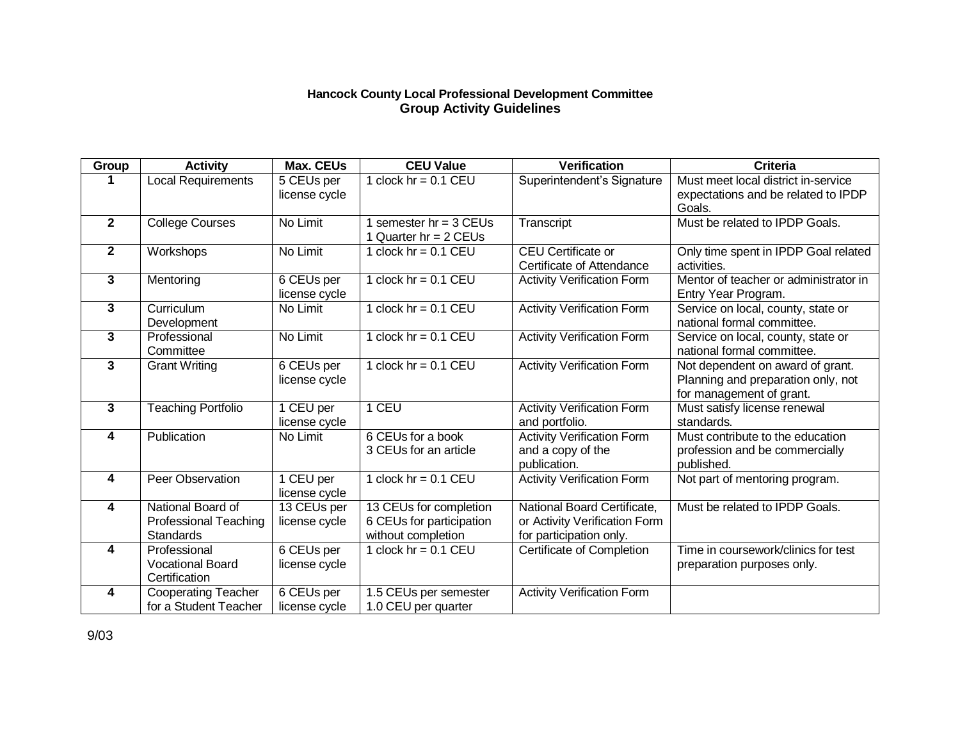## **Hancock County Local Professional Development Committee Group Activity Guidelines**

| Group                   | <b>Activity</b>                                                | <b>Max. CEUs</b>             | <b>CEU Value</b>                                                         | <b>Verification</b>                                                                     | <b>Criteria</b>                                                                                    |
|-------------------------|----------------------------------------------------------------|------------------------------|--------------------------------------------------------------------------|-----------------------------------------------------------------------------------------|----------------------------------------------------------------------------------------------------|
|                         | Local Requirements                                             | 5 CEUs per                   | 1 clock $hr = 0.1$ CEU                                                   | Superintendent's Signature                                                              | Must meet local district in-service                                                                |
|                         |                                                                | license cycle                |                                                                          |                                                                                         | expectations and be related to IPDP<br>Goals.                                                      |
| $\mathbf{2}$            | <b>College Courses</b>                                         | No Limit                     | semester $hr = 3$ CEUs                                                   | Transcript                                                                              | Must be related to IPDP Goals.                                                                     |
|                         |                                                                |                              | 1 Quarter hr = 2 CEUs                                                    |                                                                                         |                                                                                                    |
| $\mathbf{2}$            | Workshops                                                      | No Limit                     | 1 clock $hr = 0.1$ CEU                                                   | CEU Certificate or<br>Certificate of Attendance                                         | Only time spent in IPDP Goal related<br>activities.                                                |
| $\mathbf{3}$            | Mentoring                                                      | 6 CEUs per<br>license cycle  | 1 clock $hr = 0.1$ CEU                                                   | <b>Activity Verification Form</b>                                                       | Mentor of teacher or administrator in<br>Entry Year Program.                                       |
| $\mathbf{3}$            | Curriculum<br>Development                                      | No Limit                     | 1 clock $hr = 0.1$ CEU                                                   | <b>Activity Verification Form</b>                                                       | Service on local, county, state or<br>national formal committee.                                   |
| 3                       | Professional<br>Committee                                      | No Limit                     | 1 clock $hr = 0.1$ CEU                                                   | <b>Activity Verification Form</b>                                                       | Service on local, county, state or<br>national formal committee.                                   |
| $\overline{\mathbf{3}}$ | <b>Grant Writing</b>                                           | 6 CEUs per<br>license cycle  | 1 clock $hr = 0.1$ CEU                                                   | <b>Activity Verification Form</b>                                                       | Not dependent on award of grant.<br>Planning and preparation only, not<br>for management of grant. |
| $\overline{\mathbf{3}}$ | <b>Teaching Portfolio</b>                                      | 1 CEU per<br>license cycle   | 1 CEU                                                                    | <b>Activity Verification Form</b><br>and portfolio.                                     | Must satisfy license renewal<br>standards.                                                         |
| 4                       | Publication                                                    | No Limit                     | 6 CEUs for a book<br>3 CEUs for an article                               | <b>Activity Verification Form</b><br>and a copy of the<br>publication.                  | Must contribute to the education<br>profession and be commercially<br>published.                   |
| $\overline{\mathbf{4}}$ | Peer Observation                                               | 1 CEU per<br>license cycle   | 1 clock $hr = 0.1$ CEU                                                   | <b>Activity Verification Form</b>                                                       | Not part of mentoring program.                                                                     |
| 4                       | National Board of<br><b>Professional Teaching</b><br>Standards | 13 CEUs per<br>license cycle | 13 CEUs for completion<br>6 CEUs for participation<br>without completion | National Board Certificate,<br>or Activity Verification Form<br>for participation only. | Must be related to IPDP Goals.                                                                     |
| 4                       | Professional<br><b>Vocational Board</b><br>Certification       | 6 CEUs per<br>license cycle  | 1 clock $hr = 0.1$ CEU                                                   | Certificate of Completion                                                               | Time in coursework/clinics for test<br>preparation purposes only.                                  |
| 4                       | <b>Cooperating Teacher</b><br>for a Student Teacher            | 6 CEUs per<br>license cycle  | 1.5 CEUs per semester<br>1.0 CEU per quarter                             | <b>Activity Verification Form</b>                                                       |                                                                                                    |